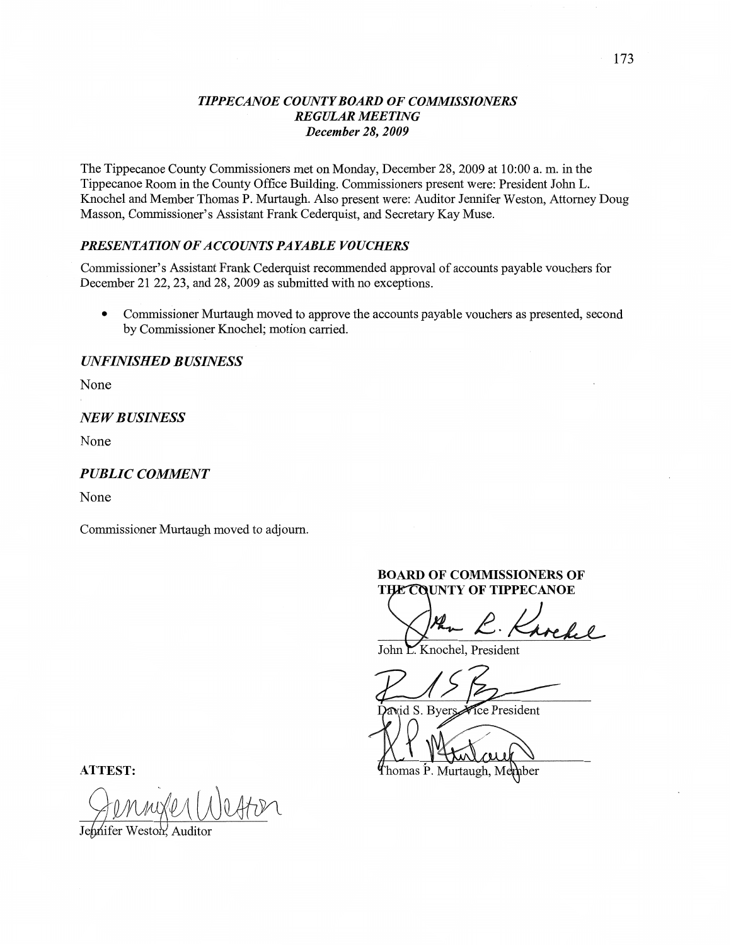### *TIPPE CANOE COUNTY BOARD* OF *COMMISSIONERS REGULAR MEETING December* 28, *2009*

The Tippecanoe County Commissioners met on Monday, December 28, 2009 at **10:00** a. m. in the **Tippecanoe** Room in the County **Office** Building. Commissioners present were: President John L. Knochel and Member Thomas P. Murtaugh. **Also** present were: Auditor Jennifer Weston, Attorney Doug Masson, Commissioner's Assistant Frank Cederquist, and Secretary Kay Muse.

# **PRESENTATION OF ACCOUNTS PAYABLE VOUCHERS**

Commissioner's Assistant Frank Cederquist **recommended** approval of accounts payable vouchers for December 21 22, 23, and 28, 2009 as **submitted** with no exceptions.

**0** Commissioner Murtaugh'moved to approve the accounts payable vouchers as presented, second by Commissioner Knochel; motion carried.

### *UNFINISHED BUSflVESS*

None

#### *NEWBUSHVESS*

None

## **PUBLIC COMMENT**

None

Commissioner Murtaugh moved to adjourn.

#### **BOARD** OF **COMMISSIONERS** OF **THE COUNTY OF TIPPECANOE**

John Knochel, President

David S. Byers. Vice President

fhomas P. Murtaugh, Member

**ATTEST:** 

Gennyer Wester

Weston, Auditor